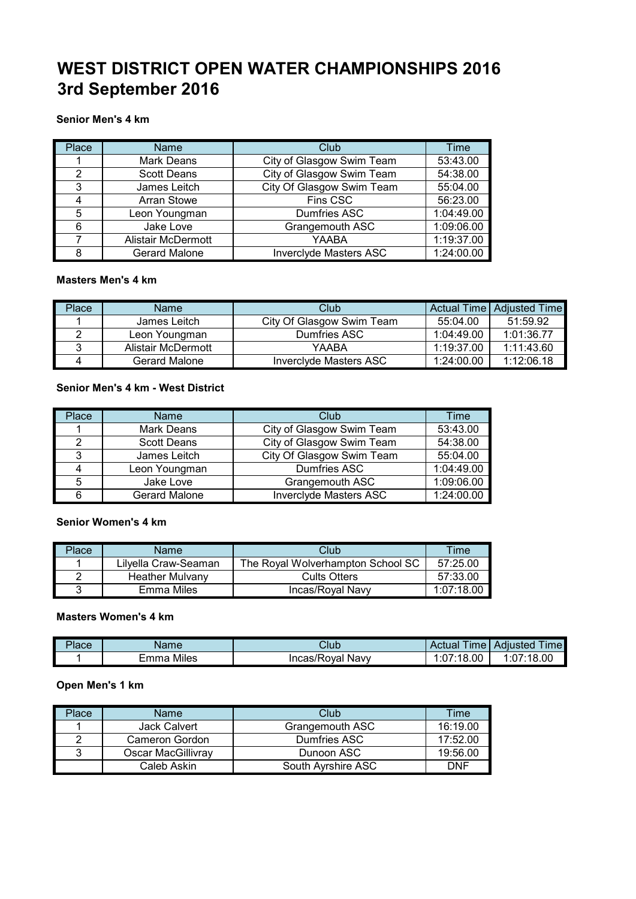# **WEST DISTRICT OPEN WATER CHAMPIONSHIPS 2016 3rd September 2016**

## **Senior Men's 4 km**

| Place | <b>Name</b>               | Club                          | Time       |
|-------|---------------------------|-------------------------------|------------|
|       | <b>Mark Deans</b>         | City of Glasgow Swim Team     | 53:43.00   |
| 2     | <b>Scott Deans</b>        | City of Glasgow Swim Team     | 54:38.00   |
| 3     | James Leitch              | City Of Glasgow Swim Team     | 55:04.00   |
|       | <b>Arran Stowe</b>        | Fins CSC                      | 56:23.00   |
| 5     | Leon Youngman             | Dumfries ASC                  | 1:04:49.00 |
| 6     | Jake Love                 | Grangemouth ASC               | 1:09:06.00 |
|       | <b>Alistair McDermott</b> | YAABA                         | 1:19:37.00 |
| 8     | <b>Gerard Malone</b>      | <b>Inverclyde Masters ASC</b> | 1:24:00.00 |

## **Masters Men's 4 km**

| Place | Name               | Club                      |            | Actual Time   Adjusted Time |
|-------|--------------------|---------------------------|------------|-----------------------------|
|       | James Leitch       | City Of Glasgow Swim Team | 55:04.00   | 51:59.92                    |
|       | Leon Youngman      | Dumfries ASC              | 1:04:49.00 | 1:01:36.77                  |
|       | Alistair McDermott | YAABA                     | 1:19:37.00 | 1:11:43.60                  |
|       | Gerard Malone      | Invercivde Masters ASC    | 1:24:00.00 | 1:12:06.18                  |

## **Senior Men's 4 km - West District**

| Place | <b>Name</b>        | Club                          | Time       |
|-------|--------------------|-------------------------------|------------|
|       | <b>Mark Deans</b>  | City of Glasgow Swim Team     | 53:43.00   |
| ົ     | <b>Scott Deans</b> | City of Glasgow Swim Team     | 54:38.00   |
| 3     | James Leitch       | City Of Glasgow Swim Team     | 55:04.00   |
|       | Leon Youngman      | <b>Dumfries ASC</b>           | 1:04:49.00 |
| 5     | Jake Love          | Grangemouth ASC               | 1:09:06.00 |
|       | Gerard Malone      | <b>Inverciyde Masters ASC</b> | 1:24:00.00 |

#### **Senior Women's 4 km**

| Place | Name                   | Club                              | Fime       |
|-------|------------------------|-----------------------------------|------------|
|       | Lilvella Craw-Seaman   | The Roval Wolverhampton School SC | 57:25.00   |
|       | <b>Heather Mulvany</b> | <b>Cults Otters</b>               | 57:33.00   |
|       | Emma Miles             | Incas/Roval Navy                  | 1.07.18.00 |

#### **Masters Women's 4 km**

| Place | Name                            | Club                | <i>ime</i><br>Actual             | . .<br>Adiusted<br><b>Ime</b> |
|-------|---------------------------------|---------------------|----------------------------------|-------------------------------|
|       | Miles<br>$\mathsf{m}\mathsf{m}$ | Navy<br>Incas/Roval | 18.00<br>$1.07.1$ $\sim$<br>.U / | $^{\prime}:18.00$<br>1:07     |

## **Open Men's 1 km**

| Placel | Name                  | Club               | Time     |
|--------|-----------------------|--------------------|----------|
|        | <b>Jack Calvert</b>   | Grangemouth ASC    | 16:19.00 |
|        | <b>Cameron Gordon</b> | Dumfries ASC       | 17:52.00 |
|        | Oscar MacGillivray    | Dunoon ASC         | 19:56.00 |
|        | Caleb Askin           | South Ayrshire ASC | DNF      |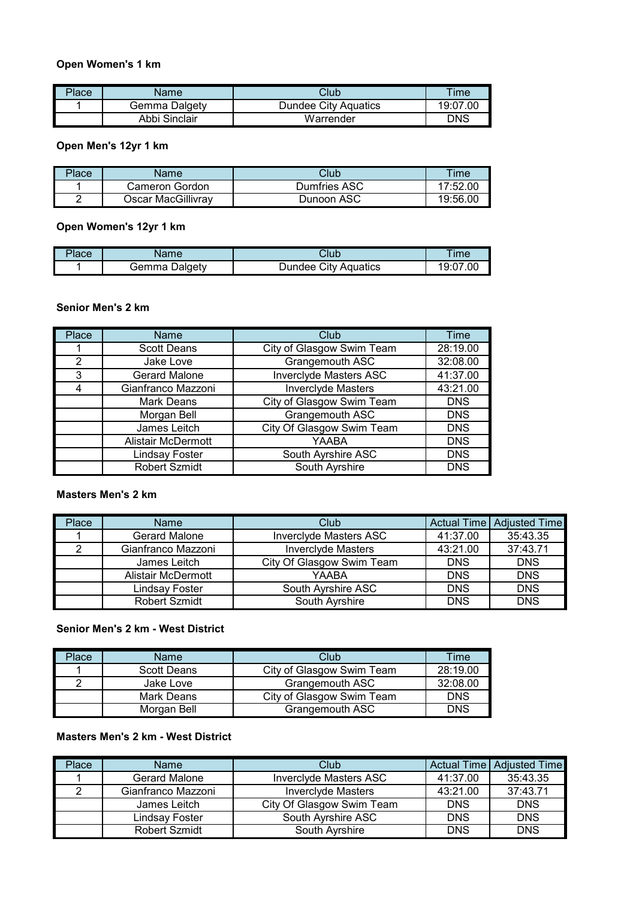## **Open Women's 1 km**

| Place | <b>Name</b>   | Club                 | Time       |
|-------|---------------|----------------------|------------|
|       | Gemma Dalgety | Dundee Citv Aquatics | 19:07.00   |
|       | Abbi Sinclair | Warrender            | <b>DNS</b> |

## **Open Men's 12yr 1 km**

| Place | Name               | Club         | <b>Time</b>            |
|-------|--------------------|--------------|------------------------|
|       | Cameron Gordon     | Dumfries ASC | 7:52.00                |
|       | Oscar MacGillivrav | Dunoon ASC   | $19:56.0$ <sup>c</sup> |

## **Open Women's 12yr 1 km**

| $\sim$ | ιc               | 'U th                        | Im <sub>6</sub> |
|--------|------------------|------------------------------|-----------------|
| 'lace  | ю                | بالبار                       |                 |
|        | Jaldetv<br>∃emma | Citv<br>Aquatics<br>\undee : | .OC<br>191.     |

## **Senior Men's 2 km**

| Place          | <b>Name</b>               | Club                          | Time       |
|----------------|---------------------------|-------------------------------|------------|
|                | <b>Scott Deans</b>        | City of Glasgow Swim Team     | 28:19.00   |
| $\overline{2}$ | Jake Love                 | Grangemouth ASC               | 32:08.00   |
| 3              | Gerard Malone             | <b>Inverclyde Masters ASC</b> | 41:37.00   |
| 4              | Gianfranco Mazzoni        | <b>Inverclyde Masters</b>     | 43:21.00   |
|                | Mark Deans                | City of Glasgow Swim Team     | <b>DNS</b> |
|                | Morgan Bell               | Grangemouth ASC               | <b>DNS</b> |
|                | James Leitch              | City Of Glasgow Swim Team     | <b>DNS</b> |
|                | <b>Alistair McDermott</b> | YAABA                         | <b>DNS</b> |
|                | <b>Lindsay Foster</b>     | South Ayrshire ASC            | <b>DNS</b> |
|                | <b>Robert Szmidt</b>      | South Ayrshire                | <b>DNS</b> |

#### **Masters Men's 2 km**

| Place | Name                 | Club                          |            | Actual Time   Adjusted Time |
|-------|----------------------|-------------------------------|------------|-----------------------------|
|       | <b>Gerard Malone</b> | <b>Invercivde Masters ASC</b> | 41:37.00   | 35:43.35                    |
|       | Gianfranco Mazzoni   | <b>Invercivde Masters</b>     | 43:21.00   | 37:43.71                    |
|       | James Leitch         | City Of Glasgow Swim Team     | <b>DNS</b> | <b>DNS</b>                  |
|       | Alistair McDermott   | YAABA                         | <b>DNS</b> | <b>DNS</b>                  |
|       | Lindsav Foster       | South Ayrshire ASC            | <b>DNS</b> | <b>DNS</b>                  |
|       | <b>Robert Szmidt</b> | South Ayrshire                | <b>DNS</b> | <b>DNS</b>                  |

## **Senior Men's 2 km - West District**

| Place | Name        | Club                      | Time       |
|-------|-------------|---------------------------|------------|
|       | Scott Deans | City of Glasgow Swim Team | 28:19.00   |
|       | Jake Love   | Grangemouth ASC           | 32:08.00   |
|       | Mark Deans  | City of Glasgow Swim Team | <b>DNS</b> |
|       | Morgan Bell | Grangemouth ASC           | DNS        |

# **Masters Men's 2 km - West District**

| Place | <b>Name</b>          | Club                      |            | Actual Time   Adjusted Time |
|-------|----------------------|---------------------------|------------|-----------------------------|
|       | Gerard Malone        | Inverciyde Masters ASC    | 41:37.00   | 35:43.35                    |
|       | Gianfranco Mazzoni   | <b>Invercivde Masters</b> | 43:21.00   | 37:43.71                    |
|       | James Leitch         | City Of Glasgow Swim Team | <b>DNS</b> | <b>DNS</b>                  |
|       | Lindsav Foster       | South Ayrshire ASC        | <b>DNS</b> | <b>DNS</b>                  |
|       | <b>Robert Szmidt</b> | South Ayrshire            | <b>DNS</b> | <b>DNS</b>                  |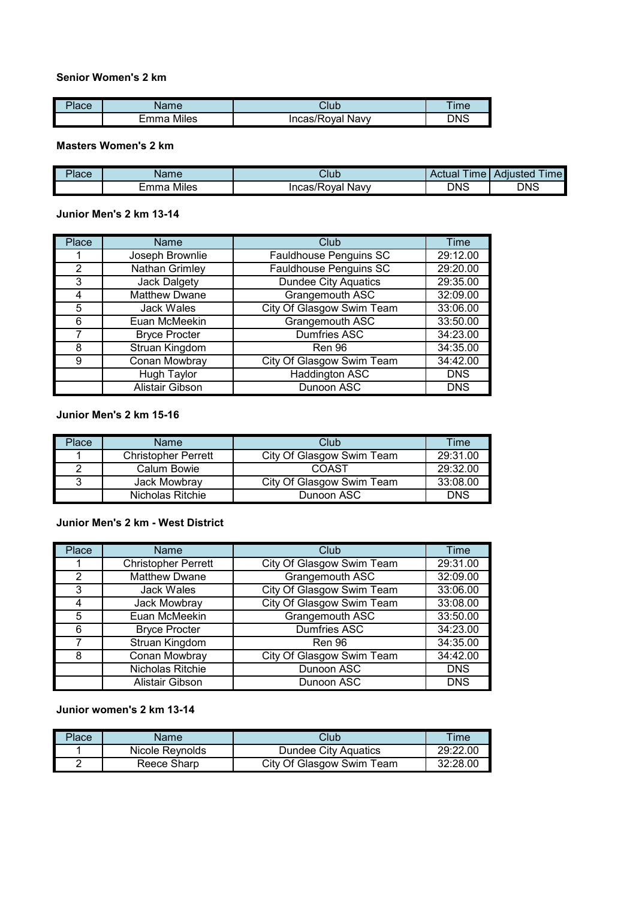## **Senior Women's 2 km**

| iace | lame         | าเ∍ศ<br>بالبار      | Time |
|------|--------------|---------------------|------|
|      | Miles<br>mma | Incas/Roval<br>Navv | DNS  |

## **Masters Women's 2 km**

| $\mathcal{D}$ ace | Name               | Club                              | $-1$<br><b>Ime</b><br>Actual | ---<br>Adiusted<br><b>Ime</b> |
|-------------------|--------------------|-----------------------------------|------------------------------|-------------------------------|
|                   | .<br>-mma<br>Miles | Navv<br>$\bar{\ }$<br>incas/Roval | DNS                          | <b>DNS</b>                    |

#### **Junior Men's 2 km 13-14**

| Place | Name                   | Club                          | <b>Time</b> |
|-------|------------------------|-------------------------------|-------------|
|       | Joseph Brownlie        | Fauldhouse Penguins SC        | 29:12.00    |
| 2     | Nathan Grimley         | <b>Fauldhouse Penguins SC</b> | 29:20.00    |
| 3     | Jack Dalgety           | <b>Dundee City Aquatics</b>   | 29:35.00    |
| 4     | <b>Matthew Dwane</b>   | Grangemouth ASC               | 32:09.00    |
| 5     | <b>Jack Wales</b>      | City Of Glasgow Swim Team     | 33:06.00    |
| 6     | Euan McMeekin          | Grangemouth ASC               | 33:50.00    |
|       | <b>Bryce Procter</b>   | <b>Dumfries ASC</b>           | 34:23.00    |
| 8     | Struan Kingdom         | Ren 96                        | 34:35.00    |
| 9     | Conan Mowbray          | City Of Glasgow Swim Team     | 34:42.00    |
|       | <b>Hugh Taylor</b>     | <b>Haddington ASC</b>         | <b>DNS</b>  |
|       | <b>Alistair Gibson</b> | <b>Dunoon ASC</b>             | <b>DNS</b>  |

## **Junior Men's 2 km 15-16**

| Place | Name                       | Club                      | Time       |
|-------|----------------------------|---------------------------|------------|
|       | <b>Christopher Perrett</b> | City Of Glasgow Swim Team | 29:31.00   |
|       | Calum Bowie                | COAST                     | 29:32.00   |
|       | Jack Mowbray               | City Of Glasgow Swim Team | 33:08.00   |
|       | Nicholas Ritchie           | Dunoon ASC                | <b>DNS</b> |

#### **Junior Men's 2 km - West District**

| Place | Name                       | Club                      | Time       |
|-------|----------------------------|---------------------------|------------|
|       | <b>Christopher Perrett</b> | City Of Glasgow Swim Team | 29:31.00   |
| 2     | <b>Matthew Dwane</b>       | Grangemouth ASC           | 32:09.00   |
| 3     | Jack Wales                 | City Of Glasgow Swim Team | 33:06.00   |
| 4     | Jack Mowbray               | City Of Glasgow Swim Team | 33:08.00   |
| 5     | Euan McMeekin              | Grangemouth ASC           | 33:50.00   |
| 6     | <b>Bryce Procter</b>       | <b>Dumfries ASC</b>       | 34:23.00   |
|       | Struan Kingdom             | Ren 96                    | 34:35.00   |
| 8     | Conan Mowbray              | City Of Glasgow Swim Team | 34:42.00   |
|       | Nicholas Ritchie           | Dunoon ASC                | <b>DNS</b> |
|       | Alistair Gibson            | Dunoon ASC                | <b>DNS</b> |

## **Junior women's 2 km 13-14**

| 'lace' | Name            | Club                      | <b>Time</b> |
|--------|-----------------|---------------------------|-------------|
|        | Nicole Revnolds | Dundee City Aquatics      | 29:22.00    |
|        | Reece Sharp     | City Of Glasgow Swim Team | 32.2800     |